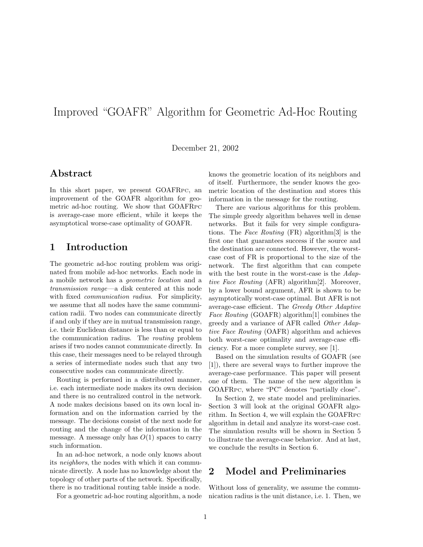# Improved "GOAFR" Algorithm for Geometric Ad-Hoc Routing

December 21, 2002

# Abstract

In this short paper, we present GOAFRPC, an improvement of the GOAFR algorithm for geometric ad-hoc routing. We show that GOAFRPC is average-case more efficient, while it keeps the asymptotical worse-case optimality of GOAFR.

# 1 Introduction

The geometric ad-hoc routing problem was originated from mobile ad-hoc networks. Each node in a mobile network has a geometric location and a transmission range—a disk centered at this node with fixed *communication radius*. For simplicity, we assume that all nodes have the same communication radii. Two nodes can communicate directly if and only if they are in mutual transmission range, i.e. their Euclidean distance is less than or equal to the communication radius. The routing problem arises if two nodes cannot communicate directly. In this case, their messages need to be relayed through a series of intermediate nodes such that any two consecutive nodes can communicate directly.

Routing is performed in a distributed manner, i.e. each intermediate node makes its own decision and there is no centralized control in the network. A node makes decisions based on its own local information and on the information carried by the message. The decisions consist of the next node for routing and the change of the information in the message. A message only has  $O(1)$  spaces to carry such information.

In an ad-hoc network, a node only knows about its neighbors, the nodes with which it can communicate directly. A node has no knowledge about the topology of other parts of the network. Specifically, there is no traditional routing table inside a node.

For a geometric ad-hoc routing algorithm, a node

knows the geometric location of its neighbors and of itself. Furthermore, the sender knows the geometric location of the destination and stores this information in the message for the routing.

There are various algorithms for this problem. The simple greedy algorithm behaves well in dense networks. But it fails for very simple configurations. The Face Routing (FR) algorithm[3] is the first one that guarantees success if the source and the destination are connected. However, the worstcase cost of FR is proportional to the size of the network. The first algorithm that can compete with the best route in the worst-case is the Adaptive Face Routing (AFR) algorithm[2]. Moreover, by a lower bound argument, AFR is shown to be asymptotically worst-case optimal. But AFR is not average-case efficient. The Greedy Other Adaptive Face Routing (GOAFR) algorithm[1] combines the greedy and a variance of AFR called Other Adaptive Face Routing (OAFR) algorithm and achieves both worst-case optimality and average-case efficiency. For a more complete survey, see [1].

Based on the simulation results of GOAFR (see [1]), there are several ways to further improve the average-case performance. This paper will present one of them. The name of the new algorithm is GOAFRPC, where "PC" denotes "partially close".

In Section 2, we state model and preliminaries. Section 3 will look at the original GOAFR algorithm. In Section 4, we will explain the GOAFRPC algorithm in detail and analyze its worst-case cost. The simulation results will be shown in Section 5 to illustrate the average-case behavior. And at last, we conclude the results in Section 6.

# 2 Model and Preliminaries

Without loss of generality, we assume the communication radius is the unit distance, i.e. 1. Then, we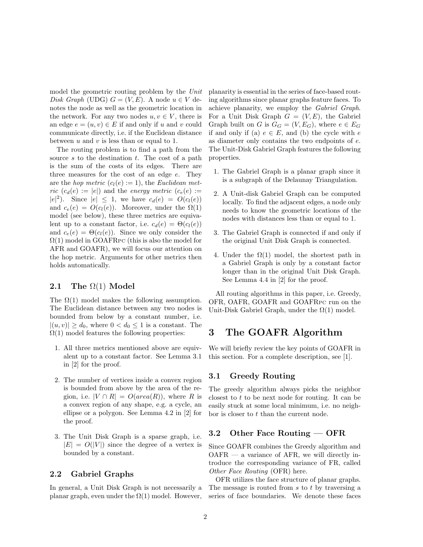model the geometric routing problem by the Unit Disk Graph (UDG)  $G = (V, E)$ . A node  $u \in V$  denotes the node as well as the geometric location in the network. For any two nodes  $u, v \in V$ , there is an edge  $e = (u, v) \in E$  if and only if u and v could communicate directly, i.e. if the Euclidean distance between  $u$  and  $v$  is less than or equal to 1.

The routing problem is to find a path from the source s to the destination  $t$ . The cost of a path is the sum of the costs of its edges. There are three measures for the cost of an edge e. They are the *hop metric*  $(c_l(e) := 1)$ , the *Euclidean met*ric  $(c_d(e) := |e|)$  and the energy metric  $(c_e(e) :=$  $|e|^2$ ). Since  $|e| \leq 1$ , we have  $c_d(e) = O(c_l(e))$ and  $c_e(e) = O(c_l(e))$ . Moreover, under the  $\Omega(1)$ model (see below), these three metrics are equivalent up to a constant factor, i.e.  $c_d(e) = \Theta(c_l(e))$ and  $c_e(e) = \Theta(c_l(e))$ . Since we only consider the  $\Omega(1)$  model in GOAFRPC (this is also the model for AFR and GOAFR), we will focus our attention on the hop metric. Arguments for other metrics then holds automatically.

### 2.1 The  $\Omega(1)$  Model

The  $\Omega(1)$  model makes the following assumption. The Euclidean distance between any two nodes is bounded from below by a constant number, i.e.  $|(u, v)| \geq d_0$ , where  $0 < d_0 \leq 1$  is a constant. The  $\Omega(1)$  model features the following properties:

- 1. All three metrics mentioned above are equivalent up to a constant factor. See Lemma 3.1 in [2] for the proof.
- 2. The number of vertices inside a convex region is bounded from above by the area of the region, i.e.  $|V \cap R| = O(\text{area}(R))$ , where R is a convex region of any shape, e.g. a cycle, an ellipse or a polygon. See Lemma 4.2 in [2] for the proof.
- 3. The Unit Disk Graph is a sparse graph, i.e.  $|E| = O(|V|)$  since the degree of a vertex is bounded by a constant.

### 2.2 Gabriel Graphs

In general, a Unit Disk Graph is not necessarily a planar graph, even under the  $\Omega(1)$  model. However,

planarity is essential in the series of face-based routing algorithms since planar graphs feature faces. To achieve planarity, we employ the Gabriel Graph. For a Unit Disk Graph  $G = (V, E)$ , the Gabriel Graph built on G is  $G_G = (V, E_G)$ , where  $e \in E_G$ if and only if (a)  $e \in E$ , and (b) the cycle with e as diameter only contains the two endpoints of e. The Unit-Disk Gabriel Graph features the following properties.

- 1. The Gabriel Graph is a planar graph since it is a subgraph of the Delaunay Triangulation.
- 2. A Unit-disk Gabriel Graph can be computed locally. To find the adjacent edges, a node only needs to know the geometric locations of the nodes with distances less than or equal to 1.
- 3. The Gabriel Graph is connected if and only if the original Unit Disk Graph is connected.
- 4. Under the  $\Omega(1)$  model, the shortest path in a Gabriel Graph is only by a constant factor longer than in the original Unit Disk Graph. See Lemma 4.4 in [2] for the proof.

All routing algorithms in this paper, i.e. Greedy, OFR, OAFR, GOAFR and GOAFRPC run on the Unit-Disk Gabriel Graph, under the  $\Omega(1)$  model.

# 3 The GOAFR Algorithm

We will briefly review the key points of GOAFR in this section. For a complete description, see [1].

#### 3.1 Greedy Routing

The greedy algorithm always picks the neighbor closest to  $t$  to be next node for routing. It can be easily stuck at some local minimum, i.e. no neighbor is closer to  $t$  than the current node.

### 3.2 Other Face Routing — OFR

Since GOAFR combines the Greedy algorithm and  $OAFR$  — a variance of AFR, we will directly introduce the corresponding variance of FR, called Other Face Routing (OFR) here.

OFR utilizes the face structure of planar graphs. The message is routed from s to t by traversing a series of face boundaries. We denote these faces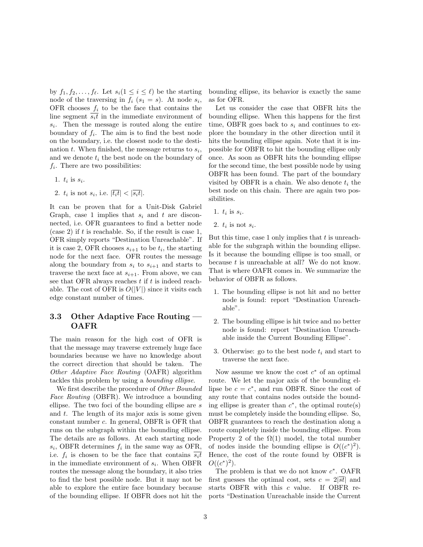by  $f_1, f_2, \ldots, f_\ell$ . Let  $s_i(1 \leq i \leq \ell)$  be the starting node of the traversing in  $f_i$   $(s_1 = s)$ . At node  $s_i$ , OFR chooses  $f_i$  to be the face that contains the line segment  $\overline{s_i t}$  in the immediate environment of  $s_i$ . Then the message is routed along the entire boundary of  $f_i$ . The aim is to find the best node on the boundary, i.e. the closest node to the destination  $t$ . When finished, the message returns to  $s_i$ , and we denote  $t_i$  the best node on the boundary of  $f_i$ . There are two possibilities:

- 1.  $t_i$  is  $s_i$ .
- 2.  $t_i$  is not  $s_i$ , i.e.  $|\overline{t_i t}| < |\overline{s_i t}|$ .

It can be proven that for a Unit-Disk Gabriel Graph, case 1 implies that  $s_i$  and t are disconnected, i.e. OFR guarantees to find a better node  $(\text{case 2})$  if t is reachable. So, if the result is case 1, OFR simply reports "Destination Unreachable". If it is case 2, OFR chooses  $s_{i+1}$  to be  $t_i$ , the starting node for the next face. OFR routes the message along the boundary from  $s_i$  to  $s_{i+1}$  and starts to traverse the next face at  $s_{i+1}$ . From above, we can see that OFR always reaches  $t$  if  $t$  is indeed reachable. The cost of OFR is  $O(|V|)$  since it visits each edge constant number of times.

### 3.3 Other Adaptive Face Routing — OAFR

The main reason for the high cost of OFR is that the message may traverse extremely huge face boundaries because we have no knowledge about the correct direction that should be taken. The Other Adaptive Face Routing (OAFR) algorithm tackles this problem by using a bounding ellipse.

We first describe the procedure of Other Bounded Face Routing (OBFR). We introduce a bounding ellipse. The two foci of the bounding ellipse are s and  $t$ . The length of its major axis is some given constant number c. In general, OBFR is OFR that runs on the subgraph within the bounding ellipse. The details are as follows. At each starting node  $s_i$ , OBFR determines  $f_i$  in the same way as OFR, i.e.  $f_i$  is chosen to be the face that contains  $\overline{s_i t}$ in the immediate environment of  $s_i$ . When OBFR routes the message along the boundary, it also tries to find the best possible node. But it may not be able to explore the entire face boundary because of the bounding ellipse. If OBFR does not hit the

bounding ellipse, its behavior is exactly the same as for OFR.

Let us consider the case that OBFR hits the bounding ellipse. When this happens for the first time, OBFR goes back to  $s_i$  and continues to explore the boundary in the other direction until it hits the bounding ellipse again. Note that it is impossible for OBFR to hit the bounding ellipse only once. As soon as OBFR hits the bounding ellipse for the second time, the best possible node by using OBFR has been found. The part of the boundary visited by OBFR is a chain. We also denote  $t_i$  the best node on this chain. There are again two possibilities.

- 1.  $t_i$  is  $s_i$ .
- 2.  $t_i$  is not  $s_i$ .

But this time, case 1 only implies that  $t$  is unreachable for the subgraph within the bounding ellipse. Is it because the bounding ellipse is too small, or because  $t$  is unreachable at all? We do not know. That is where OAFR comes in. We summarize the behavior of OBFR as follows.

- 1. The bounding ellipse is not hit and no better node is found: report "Destination Unreachable".
- 2. The bounding ellipse is hit twice and no better node is found: report "Destination Unreachable inside the Current Bounding Ellipse".
- 3. Otherwise: go to the best node  $t_i$  and start to traverse the next face.

Now assume we know the cost  $c^*$  of an optimal route. We let the major axis of the bounding ellipse be  $c = c^*$ , and run OBFR. Since the cost of any route that contains nodes outside the bounding ellipse is greater than  $c^*$ , the optimal route(s) must be completely inside the bounding ellipse. So, OBFR guarantees to reach the destination along a route completely inside the bounding ellipse. From Property 2 of the  $\Omega(1)$  model, the total number of nodes inside the bounding ellipse is  $O((c^*)^2)$ . Hence, the cost of the route found by OBFR is  $O((c^*)^2)$ .

The problem is that we do not know  $c^*$ . OAFR first guesses the optimal cost, sets  $c = 2|\overline{st}|$  and starts OBFR with this c value. If OBFR reports "Destination Unreachable inside the Current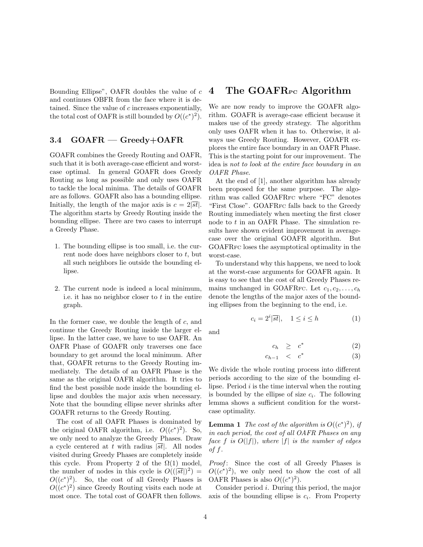Bounding Ellipse", OAFR doubles the value of c and continues OBFR from the face where it is detained. Since the value of  $c$  increases exponentially, the total cost of OAFR is still bounded by  $O((c^*)^2)$ .

### 3.4 GOAFR — Greedy+OAFR

GOAFR combines the Greedy Routing and OAFR, such that it is both average-case efficient and worstcase optimal. In general GOAFR does Greedy Routing as long as possible and only uses OAFR to tackle the local minima. The details of GOAFR are as follows. GOAFR also has a bounding ellipse. Initially, the length of the major axis is  $c = 2|\overline{st}|$ . The algorithm starts by Greedy Routing inside the bounding ellipse. There are two cases to interrupt a Greedy Phase.

- 1. The bounding ellipse is too small, i.e. the current node does have neighbors closer to  $t$ , but all such neighbors lie outside the bounding ellipse.
- 2. The current node is indeed a local minimum, i.e. it has no neighbor closer to  $t$  in the entire graph.

In the former case, we double the length of  $c$ , and continue the Greedy Routing inside the larger ellipse. In the latter case, we have to use OAFR. An OAFR Phase of GOAFR only traverses one face boundary to get around the local minimum. After that, GOAFR returns to the Greedy Routing immediately. The details of an OAFR Phase is the same as the original OAFR algorithm. It tries to find the best possible node inside the bounding ellipse and doubles the major axis when necessary. Note that the bounding ellipse never shrinks after GOAFR returns to the Greedy Routing.

The cost of all OAFR Phases is dominated by the original OAFR algorithm, i.e.  $O((c^*)^2)$ . So, we only need to analyze the Greedy Phases. Draw a cycle centered at t with radius  $|\overline{st}|$ . All nodes visited during Greedy Phases are completely inside this cycle. From Property 2 of the  $\Omega(1)$  model, the number of nodes in this cycle is  $O((\sqrt{st}))^2$  =  $O((c^*)^2)$ . So, the cost of all Greedy Phases is  $O((c^*)^2)$  since Greedy Routing visits each node at most once. The total cost of GOAFR then follows.

# 4 The GOAFR<sub>PC</sub> Algorithm

We are now ready to improve the GOAFR algorithm. GOAFR is average-case efficient because it makes use of the greedy strategy. The algorithm only uses OAFR when it has to. Otherwise, it always use Greedy Routing. However, GOAFR explores the entire face boundary in an OAFR Phase. This is the starting point for our improvement. The idea is not to look at the entire face boundary in an OAFR Phase.

At the end of [1], another algorithm has already been proposed for the same purpose. The algorithm was called GOAFRFC where "FC" denotes "First Close". GOAFRFC falls back to the Greedy Routing immediately when meeting the first closer node to t in an OAFR Phase. The simulation results have shown evident improvement in averagecase over the original GOAFR algorithm. But GOAFRFC loses the asymptotical optimality in the worst-case.

To understand why this happens, we need to look at the worst-case arguments for GOAFR again. It is easy to see that the cost of all Greedy Phases remains unchanged in GOAFRFC. Let  $c_1, c_2, \ldots, c_h$ denote the lengths of the major axes of the bounding ellipses from the beginning to the end, i.e.

$$
c_i = 2^i |\overline{st}|, \quad 1 \le i \le h \tag{1}
$$

and

$$
c_h \geq c^* \tag{2}
$$

$$
c_{h-1} < c^* \tag{3}
$$

We divide the whole routing process into different periods according to the size of the bounding ellipse. Period  $i$  is the time interval when the routing is bounded by the ellipse of size  $c_i$ . The following lemma shows a sufficient condition for the worstcase optimality.

**Lemma 1** The cost of the algorithm is  $O((c^*)^2)$ , if in each period, the cost of all OAFR Phases on any face f is  $O(|f|)$ , where |f| is the number of edges of  $f$ .

Proof: Since the cost of all Greedy Phases is  $O((c^*)^2)$ , we only need to show the cost of all OAFR Phases is also  $O((c^*)^2)$ .

Consider period i. During this period, the major axis of the bounding ellipse is  $c_i$ . From Property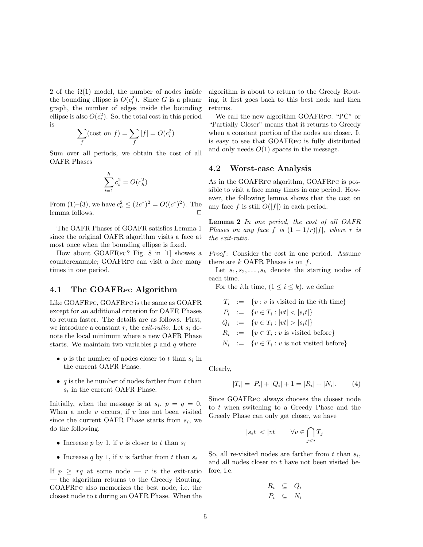2 of the  $\Omega(1)$  model, the number of nodes inside the bounding ellipse is  $O(c_i^2)$ . Since G is a planar graph, the number of edges inside the bounding ellipse is also  $O(c_i^2)$ . So, the total cost in this period is  $\overline{\phantom{a}}$ 

$$
\sum_{f}(\text{cost on } f) = \sum_{f} |f| = O(c_i^2)
$$

Sum over all periods, we obtain the cost of all OAFR Phases

$$
\sum_{i=1}^{h} c_i^2 = O(c_h^2)
$$

From (1)–(3), we have  $c_h^2 \le (2c^*)^2 = O((c^*)^2)$ . The lemma follows.

The OAFR Phases of GOAFR satisfies Lemma 1 since the original OAFR algorithm visits a face at most once when the bounding ellipse is fixed.

How about GOAFRFC? Fig. 8 in [1] showes a counterexample; GOAFRFC can visit a face many times in one period.

#### 4.1 The GOAFR<sub>PC</sub> Algorithm

Like GOAFRFC, GOAFRPC is the same as GOAFR except for an additional criterion for OAFR Phases to return faster. The details are as follows. First, we introduce a constant r, the *exit-ratio*. Let  $s_i$  denote the local minimum where a new OAFR Phase starts. We maintain two variables  $p$  and  $q$  where

- $p$  is the number of nodes closer to  $t$  than  $s_i$  in the current OAFR Phase.
- q is the he number of nodes farther from  $t$  than  $s_i$  in the current OAFR Phase.

Initially, when the message is at  $s_i$ ,  $p = q = 0$ . When a node  $v$  occurs, if  $v$  has not been visited since the current OAFR Phase starts from  $s_i$ , we do the following.

- Increase p by 1, if v is closer to t than  $s_i$
- Increase q by 1, if v is farther from t than  $s_i$

If  $p \geq rq$  at some node — r is the exit-ratio — the algorithm returns to the Greedy Routing. GOAFRPC also memorizes the best node, i.e. the closest node to t during an OAFR Phase. When the

algorithm is about to return to the Greedy Routing, it first goes back to this best node and then returns.

We call the new algorithm GOAFRPC. "PC" or "Partially Closer" means that it returns to Greedy when a constant portion of the nodes are closer. It is easy to see that GOAFRPC is fully distributed and only needs  $O(1)$  spaces in the message.

#### 4.2 Worst-case Analysis

As in the GOAFRFC algorithm, GOAFRPC is possible to visit a face many times in one period. However, the following lemma shows that the cost on any face f is still  $O(|f|)$  in each period.

Lemma 2 In one period, the cost of all OAFR Phases on any face f is  $(1 + 1/r)|f|$ , where r is the exit-ratio.

Proof: Consider the cost in one period. Assume there are  $k$  OAFR Phases is on  $f$ .

Let  $s_1, s_2, \ldots, s_k$  denote the starting nodes of each time.

For the *i*th time,  $(1 \leq i \leq k)$ , we define

$$
T_i := \{v : v \text{ is visited in the } i\text{th time}\}\
$$
  
\n
$$
P_i := \{v \in T_i : |vt| < |s_i t|\}\
$$
  
\n
$$
Q_i := \{v \in T_i : |vt| > |s_i t|\}\
$$
  
\n
$$
R_i := \{v \in T_i : v \text{ is visited before}\}\
$$
  
\n
$$
N_i := \{v \in T_i : v \text{ is not visited before}\}\
$$

Clearly,

$$
|T_i| = |P_i| + |Q_i| + 1 = |R_i| + |N_i|.
$$
 (4)

Since GOAFRPC always chooses the closest node to t when switching to a Greedy Phase and the Greedy Phase can only get closer, we have

$$
|\overline{s_i t}| < |\overline{vt}| \qquad \forall v \in \bigcap_{j < i} T_j
$$

So, all re-visited nodes are farther from  $t$  than  $s_i$ , and all nodes closer to  $t$  have not been visited before, i.e.

$$
R_i \subseteq Q_i
$$
  

$$
P_i \subseteq N_i
$$